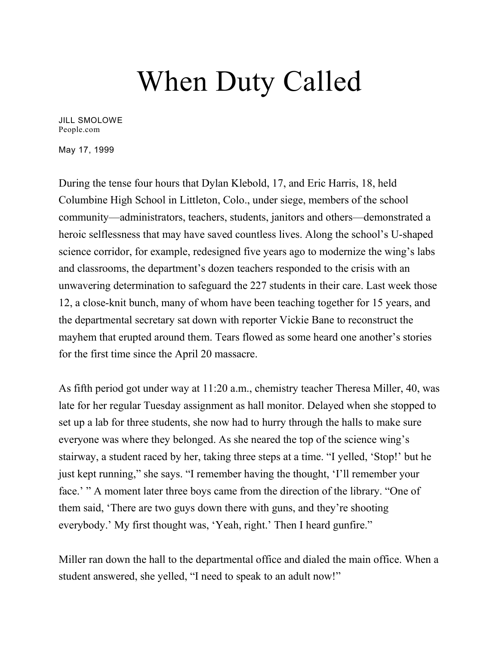## When Duty Called

[JILL SMOLOWE](https://people.com/author/jill-smolowe/) People.com

May 17, 1999

During the tense four hours that Dylan Klebold, 17, and Eric Harris, 18, held Columbine High School in Littleton, Colo., under siege, members of the school community—administrators, teachers, students, janitors and others—demonstrated a heroic selflessness that may have saved countless lives. Along the school's U-shaped science corridor, for example, redesigned five years ago to modernize the wing's labs and classrooms, the department's dozen teachers responded to the crisis with an unwavering determination to safeguard the 227 students in their care. Last week those 12, a close-knit bunch, many of whom have been teaching together for 15 years, and the departmental secretary sat down with reporter Vickie Bane to reconstruct the mayhem that erupted around them. Tears flowed as some heard one another's stories for the first time since the April 20 massacre.

As fifth period got under way at 11:20 a.m., chemistry teacher Theresa Miller, 40, was late for her regular Tuesday assignment as hall monitor. Delayed when she stopped to set up a lab for three students, she now had to hurry through the halls to make sure everyone was where they belonged. As she neared the top of the science wing's stairway, a student raced by her, taking three steps at a time. "I yelled, 'Stop!' but he just kept running," she says. "I remember having the thought, 'I'll remember your face.' " A moment later three boys came from the direction of the library. "One of them said, 'There are two guys down there with guns, and they're shooting everybody.' My first thought was, 'Yeah, right.' Then I heard gunfire."

Miller ran down the hall to the departmental office and dialed the main office. When a student answered, she yelled, "I need to speak to an adult now!"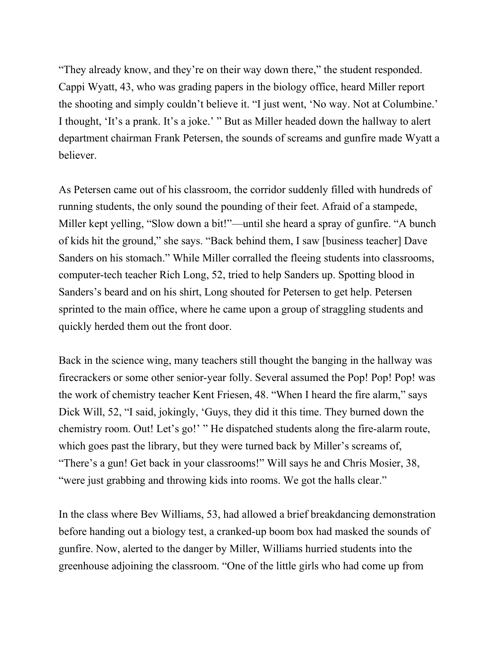"They already know, and they're on their way down there," the student responded. Cappi Wyatt, 43, who was grading papers in the biology office, heard Miller report the shooting and simply couldn't believe it. "I just went, 'No way. Not at Columbine.' I thought, 'It's a prank. It's a joke.' " But as Miller headed down the hallway to alert department chairman Frank Petersen, the sounds of screams and gunfire made Wyatt a believer.

As Petersen came out of his classroom, the corridor suddenly filled with hundreds of running students, the only sound the pounding of their feet. Afraid of a stampede, Miller kept yelling, "Slow down a bit!"—until she heard a spray of gunfire. "A bunch of kids hit the ground," she says. "Back behind them, I saw [business teacher] Dave Sanders on his stomach." While Miller corralled the fleeing students into classrooms, computer-tech teacher Rich Long, 52, tried to help Sanders up. Spotting blood in Sanders's beard and on his shirt, Long shouted for Petersen to get help. Petersen sprinted to the main office, where he came upon a group of straggling students and quickly herded them out the front door.

Back in the science wing, many teachers still thought the banging in the hallway was firecrackers or some other senior-year folly. Several assumed the Pop! Pop! Pop! was the work of chemistry teacher Kent Friesen, 48. "When I heard the fire alarm," says Dick Will, 52, "I said, jokingly, 'Guys, they did it this time. They burned down the chemistry room. Out! Let's go!' " He dispatched students along the fire-alarm route, which goes past the library, but they were turned back by Miller's screams of, "There's a gun! Get back in your classrooms!" Will says he and Chris Mosier, 38, "were just grabbing and throwing kids into rooms. We got the halls clear."

In the class where Bev Williams, 53, had allowed a brief breakdancing demonstration before handing out a biology test, a cranked-up boom box had masked the sounds of gunfire. Now, alerted to the danger by Miller, Williams hurried students into the greenhouse adjoining the classroom. "One of the little girls who had come up from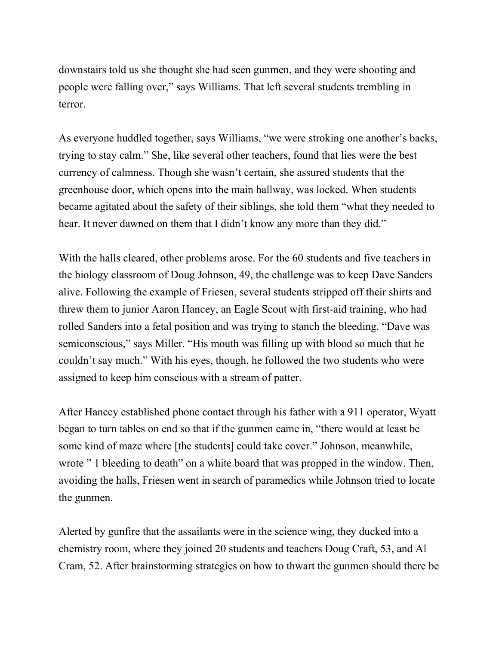downstairs told us she thought she had seen gunmen, and they were shooting and people were falling over," says Williams. That left several students trembling in terror.

As everyone huddled together, says Williams, "we were stroking one another's backs, trying to stay calm." She, like several other teachers, found that lies were the best currency of calmness. Though she wasn't certain, she assured students that the greenhouse door, which opens into the main hallway, was locked. When students became agitated about the safety of their siblings, she told them "what they needed to hear. It never dawned on them that I didn't know any more than they did."

With the halls cleared, other problems arose. For the 60 students and five teachers in the biology classroom of Doug Johnson, 49, the challenge was to keep Dave Sanders alive. Following the example of Friesen, several students stripped off their shirts and threw them to junior Aaron Hancey, an Eagle Scout with first-aid training, who had rolled Sanders into a fetal position and was trying to stanch the bleeding. "Dave was semiconscious," says Miller. "His mouth was filling up with blood so much that he couldn't say much." With his eyes, though, he followed the two students who were assigned to keep him conscious with a stream of patter.

After Hancey established phone contact through his father with a 911 operator, Wyatt began to turn tables on end so that if the gunmen came in, "there would at least be some kind of maze where [the students] could take cover." Johnson, meanwhile, wrote " 1 bleeding to death" on a white board that was propped in the window. Then, avoiding the halls, Friesen went in search of paramedics while Johnson tried to locate the gunmen.

Alerted by gunfire that the assailants were in the science wing, they ducked into a chemistry room, where they joined 20 students and teachers Doug Craft, 53, and Al Cram, 52. After brainstorming strategies on how to thwart the gunmen should there be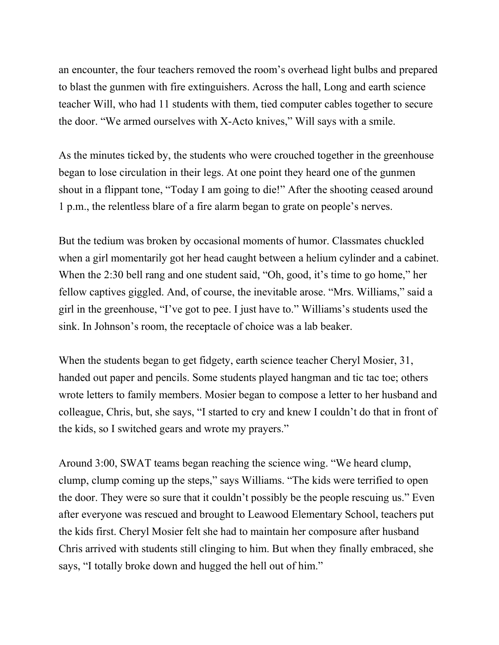an encounter, the four teachers removed the room's overhead light bulbs and prepared to blast the gunmen with fire extinguishers. Across the hall, Long and earth science teacher Will, who had 11 students with them, tied computer cables together to secure the door. "We armed ourselves with X-Acto knives," Will says with a smile.

As the minutes ticked by, the students who were crouched together in the greenhouse began to lose circulation in their legs. At one point they heard one of the gunmen shout in a flippant tone, "Today I am going to die!" After the shooting ceased around 1 p.m., the relentless blare of a fire alarm began to grate on people's nerves.

But the tedium was broken by occasional moments of humor. Classmates chuckled when a girl momentarily got her head caught between a helium cylinder and a cabinet. When the 2:30 bell rang and one student said, "Oh, good, it's time to go home," her fellow captives giggled. And, of course, the inevitable arose. "Mrs. Williams," said a girl in the greenhouse, "I've got to pee. I just have to." Williams's students used the sink. In Johnson's room, the receptacle of choice was a lab beaker.

When the students began to get fidgety, earth science teacher Cheryl Mosier, 31, handed out paper and pencils. Some students played hangman and tic tac toe; others wrote letters to family members. Mosier began to compose a letter to her husband and colleague, Chris, but, she says, "I started to cry and knew I couldn't do that in front of the kids, so I switched gears and wrote my prayers."

Around 3:00, SWAT teams began reaching the science wing. "We heard clump, clump, clump coming up the steps," says Williams. "The kids were terrified to open the door. They were so sure that it couldn't possibly be the people rescuing us." Even after everyone was rescued and brought to Leawood Elementary School, teachers put the kids first. Cheryl Mosier felt she had to maintain her composure after husband Chris arrived with students still clinging to him. But when they finally embraced, she says, "I totally broke down and hugged the hell out of him."